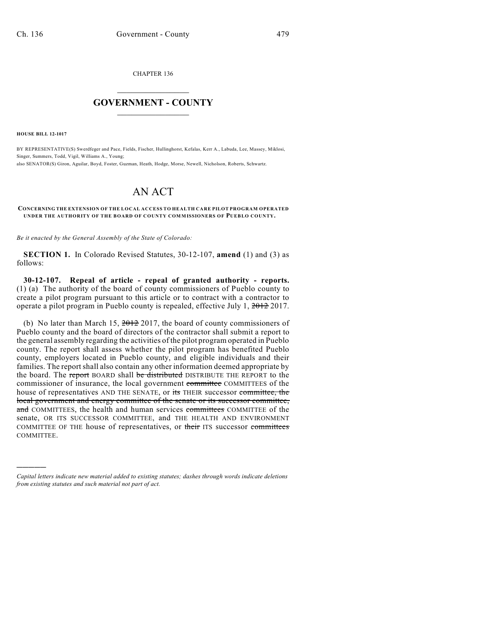CHAPTER 136

## $\overline{\phantom{a}}$  . The set of the set of the set of the set of the set of the set of the set of the set of the set of the set of the set of the set of the set of the set of the set of the set of the set of the set of the set o **GOVERNMENT - COUNTY**  $\_$

**HOUSE BILL 12-1017**

)))))

BY REPRESENTATIVE(S) Swerdfeger and Pace, Fields, Fischer, Hullinghorst, Kefalas, Kerr A., Labuda, Lee, Massey, Miklosi, Singer, Summers, Todd, Vigil, Williams A., Young; also SENATOR(S) Giron, Aguilar, Boyd, Foster, Guzman, Heath, Hodge, Morse, Newell, Nicholson, Roberts, Schwartz.

## AN ACT

## **CONCERNING THE EXTENSION OF THE LOCAL ACCESS TO HEALTH CARE PILOT PROGRAM OPERATED UNDER THE AUTHORITY OF THE BOARD OF COUNTY COMMISSIONERS OF PUEBLO COUNTY.**

*Be it enacted by the General Assembly of the State of Colorado:*

**SECTION 1.** In Colorado Revised Statutes, 30-12-107, **amend** (1) and (3) as follows:

**30-12-107. Repeal of article - repeal of granted authority - reports.** (1) (a) The authority of the board of county commissioners of Pueblo county to create a pilot program pursuant to this article or to contract with a contractor to operate a pilot program in Pueblo county is repealed, effective July 1, 2012 2017.

(b) No later than March 15,  $2012$  2017, the board of county commissioners of Pueblo county and the board of directors of the contractor shall submit a report to the general assembly regarding the activities of the pilot program operated in Pueblo county. The report shall assess whether the pilot program has benefited Pueblo county, employers located in Pueblo county, and eligible individuals and their families. The report shall also contain any other information deemed appropriate by the board. The report BOARD shall be distributed DISTRIBUTE THE REPORT to the commissioner of insurance, the local government committee COMMITTEES of the house of representatives AND THE SENATE, or its THEIR successor committee, the local government and energy committee of the senate or its successor committee, and COMMITTEES, the health and human services committees COMMITTEE of the senate, OR ITS SUCCESSOR COMMITTEE, and THE HEALTH AND ENVIRONMENT COMMITTEE OF THE house of representatives, or their ITS successor committees COMMITTEE.

*Capital letters indicate new material added to existing statutes; dashes through words indicate deletions from existing statutes and such material not part of act.*